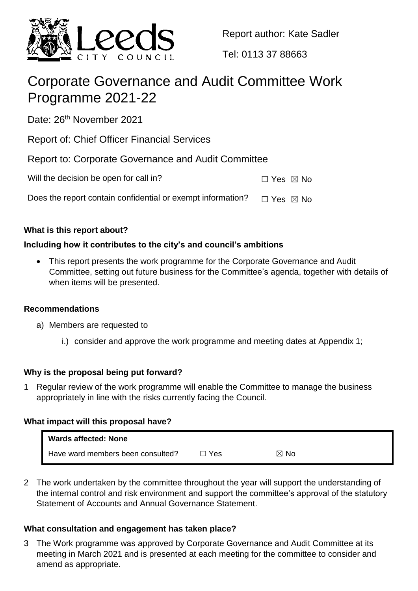

Report author: Kate Sadler

Tel: 0113 37 88663

# Corporate Governance and Audit Committee Work Programme 2021-22

Date: 26<sup>th</sup> November 2021

Report of: Chief Officer Financial Services

Report to: Corporate Governance and Audit Committee

| Will the decision be open for call in?                      | □ Yes ⊠ No |  |
|-------------------------------------------------------------|------------|--|
| Does the report contain confidential or exempt information? | □ Yes ⊠ No |  |

# **What is this report about?**

# **Including how it contributes to the city's and council's ambitions**

 This report presents the work programme for the Corporate Governance and Audit Committee, setting out future business for the Committee's agenda, together with details of when items will be presented.

# **Recommendations**

- a) Members are requested to
	- i.) consider and approve the work programme and meeting dates at Appendix 1;

# **Why is the proposal being put forward?**

1 Regular review of the work programme will enable the Committee to manage the business appropriately in line with the risks currently facing the Council.

# **What impact will this proposal have?**

| Wards affected: None              |       |                |
|-----------------------------------|-------|----------------|
| Have ward members been consulted? | ו Yes | $\boxtimes$ No |

2 The work undertaken by the committee throughout the year will support the understanding of the internal control and risk environment and support the committee's approval of the statutory Statement of Accounts and Annual Governance Statement.

# **What consultation and engagement has taken place?**

3 The Work programme was approved by Corporate Governance and Audit Committee at its meeting in March 2021 and is presented at each meeting for the committee to consider and amend as appropriate.